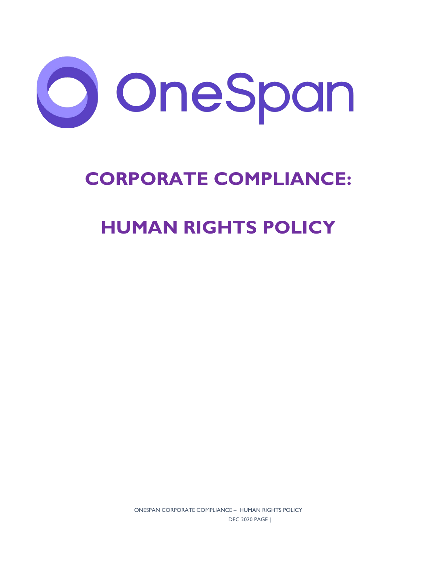

# **CORPORATE COMPLIANCE:**

## **HUMAN RIGHTS POLICY**

ONESPAN CORPORATE COMPLIANCE – HUMAN RIGHTS POLICY DEC 2020 PAGE |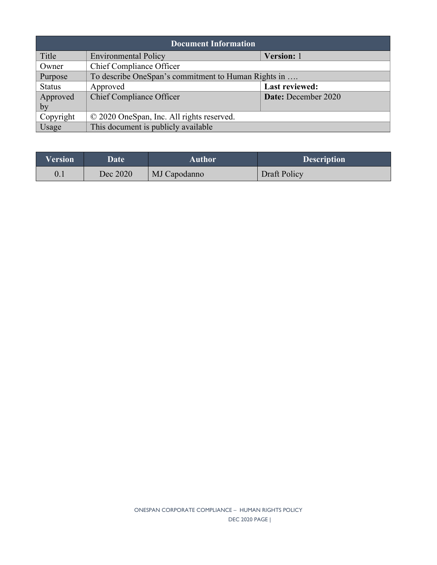| <b>Document Information</b> |                                                     |                     |  |  |
|-----------------------------|-----------------------------------------------------|---------------------|--|--|
| Title                       | <b>Environmental Policy</b>                         | Version: 1          |  |  |
| Owner                       | Chief Compliance Officer                            |                     |  |  |
| Purpose                     | To describe OneSpan's commitment to Human Rights in |                     |  |  |
| <b>Status</b>               | Approved                                            | Last reviewed:      |  |  |
| Approved                    | <b>Chief Compliance Officer</b>                     | Date: December 2020 |  |  |
| by                          |                                                     |                     |  |  |
| Copyright                   | © 2020 OneSpan, Inc. All rights reserved.           |                     |  |  |
| Usage                       | This document is publicly available                 |                     |  |  |

| Version | Date     | Author       | <b>Description</b> |
|---------|----------|--------------|--------------------|
| 0.1     | Dec 2020 | MJ Capodanno | Draft Policy       |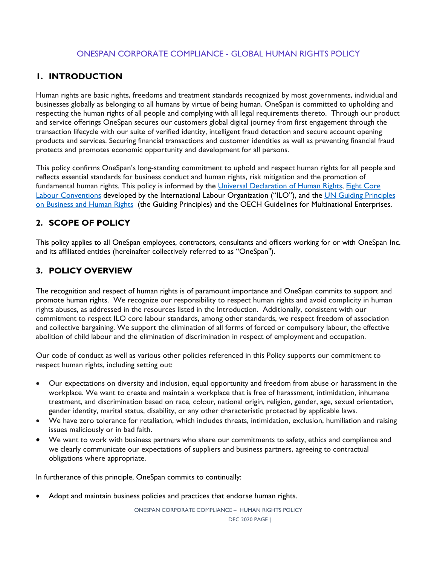### ONESPAN CORPORATE COMPLIANCE - GLOBAL HUMAN RIGHTS POLICY

### **1. INTRODUCTION**

Human rights are basic rights, freedoms and treatment standards recognized by most governments, individual and businesses globally as belonging to all humans by virtue of being human. OneSpan is committed to upholding and respecting the human rights of all people and complying with all legal requirements thereto. Through our product and service offerings OneSpan secures our customers global digital journey from first engagement through the transaction lifecycle with our suite of verified identity, intelligent fraud detection and secure account opening products and services. Securing financial transactions and customer identities as well as preventing financial fraud protects and promotes economic opportunity and development for all persons.

This policy confirms OneSpan's long-standing commitment to uphold and respect human rights for all people and reflects essential standards for business conduct and human rights, risk mitigation and the promotion of fundamental human rights. This policy is informed by the [Universal Declaration of Human Rights,](https://www.un.org/en/universal-declaration-human-rights/) Eight Core [Labour Conventions](https://libguides.ilo.org/c.php?g=657806&p=4649148) developed by the International Labour Organization ("ILO"), and the UN Guiding Principles [on Business and Human Rights](https://www.ohchr.org/documents/publications/guidingprinciplesbusinesshr_en.pdf) (the Guiding Principles) and the [OECH Guidelines for Multinational Enterprises.](https://www.oecd.org/corporate/mne/)

## **2. SCOPE OF POLICY**

This policy applies to all OneSpan employees, contractors, consultants and officers working for or with OneSpan Inc. and its affiliated entities (hereinafter collectively referred to as "OneSpan").

## **3. POLICY OVERVIEW**

The recognition and respect of human rights is of paramount importance and OneSpan commits to support and promote human rights. We recognize our responsibility to respect human rights and avoid complicity in human rights abuses, as addressed in the resources listed in the Introduction. Additionally, consistent with our commitment to respect ILO core labour standards, among other standards, we respect freedom of association and collective bargaining. We support the elimination of all forms of forced or compulsory labour, the effective abolition of child labour and the elimination of discrimination in respect of employment and occupation.

Our code of conduct as well as various other policies referenced in this Policy supports our commitment to respect human rights, including setting out:

- Our expectations on diversity and inclusion, equal opportunity and freedom from abuse or harassment in the workplace. We want to create and maintain a workplace that is free of harassment, intimidation, inhumane treatment, and discrimination based on race, colour, national origin, religion, gender, age, sexual orientation, gender identity, marital status, disability, or any other characteristic protected by applicable laws.
- We have zero tolerance for retaliation, which includes threats, intimidation, exclusion, humiliation and raising issues maliciously or in bad faith.
- We want to work with business partners who share our commitments to safety, ethics and compliance and we clearly communicate our expectations of suppliers and business partners, agreeing to contractual obligations where appropriate.

In furtherance of this principle, OneSpan commits to continually:

Adopt and maintain business policies and practices that endorse human rights.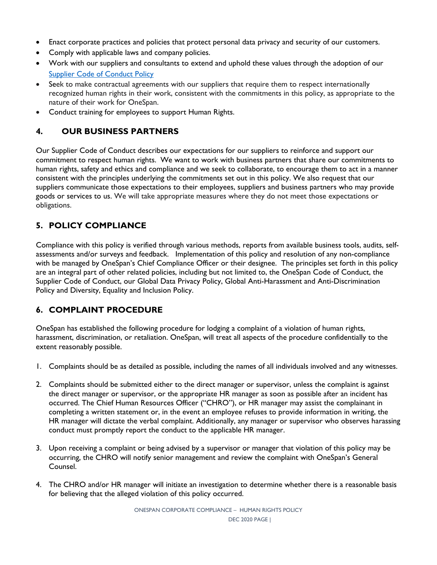- Enact corporate practices and policies that protect personal data privacy and security of our customers.
- Comply with applicable laws and company policies.
- Work with our suppliers and consultants to extend and uphold these values through the adoption of our **[Supplier Code of Conduct Policy](https://www.onespan.com/sites/default/files/2020-11/Supplier-Code-of-Conduct-Policy-rev-2.pdf)**
- Seek to make contractual agreements with our suppliers that require them to respect internationally recognized human rights in their work, consistent with the commitments in this policy, as appropriate to the nature of their work for OneSpan.
- Conduct training for employees to support Human Rights.

### **4. OUR BUSINESS PARTNERS**

Our Supplier Code of Conduct describes our expectations for our suppliers to reinforce and support our commitment to respect human rights. We want to work with business partners that share our commitments to human rights, safety and ethics and compliance and we seek to collaborate, to encourage them to act in a manner consistent with the principles underlying the commitments set out in this policy. We also request that our suppliers communicate those expectations to their employees, suppliers and business partners who may provide goods or services to us. We will take appropriate measures where they do not meet those expectations or obligations.

## **5. POLICY COMPLIANCE**

Compliance with this policy is verified through various methods, reports from available business tools, audits, selfassessments and/or surveys and feedback. Implementation of this policy and resolution of any non-compliance with be managed by OneSpan's Chief Compliance Officer or their designee. The principles set forth in this policy are an integral part of other related policies, including but not limited to, the OneSpan Code of Conduct, the Supplier Code of Conduct, our Global Data Privacy Policy, Global Anti-Harassment and Anti-Discrimination Policy and Diversity, Equality and Inclusion Policy.

#### **6. COMPLAINT PROCEDURE**

OneSpan has established the following procedure for lodging a complaint of a violation of human rights, harassment, discrimination, or retaliation. OneSpan, will treat all aspects of the procedure confidentially to the extent reasonably possible.

- 1. Complaints should be as detailed as possible, including the names of all individuals involved and any witnesses.
- 2. Complaints should be submitted either to the direct manager or supervisor, unless the complaint is against the direct manager or supervisor, or the appropriate HR manager as soon as possible after an incident has occurred. The Chief Human Resources Officer ("CHRO"), or HR manager may assist the complainant in completing a written statement or, in the event an employee refuses to provide information in writing, the HR manager will dictate the verbal complaint. Additionally, any manager or supervisor who observes harassing conduct must promptly report the conduct to the applicable HR manager.
- 3. Upon receiving a complaint or being advised by a supervisor or manager that violation of this policy may be occurring, the CHRO will notify senior management and review the complaint with OneSpan's General Counsel.
- 4. The CHRO and/or HR manager will initiate an investigation to determine whether there is a reasonable basis for believing that the alleged violation of this policy occurred.